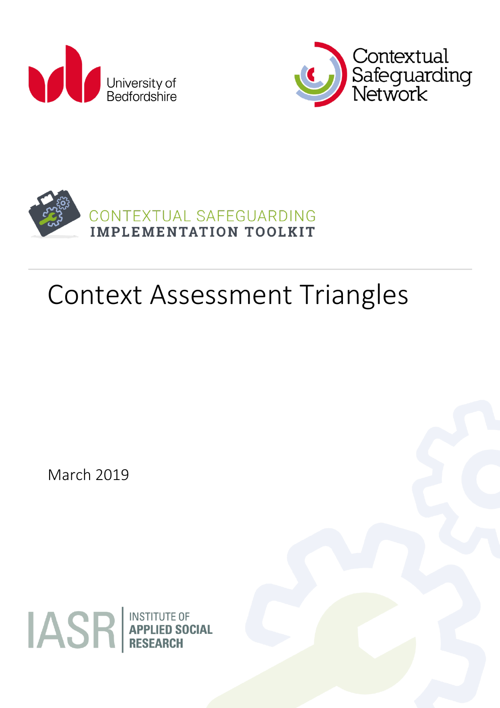





# Context Assessment Triangles

March 2019

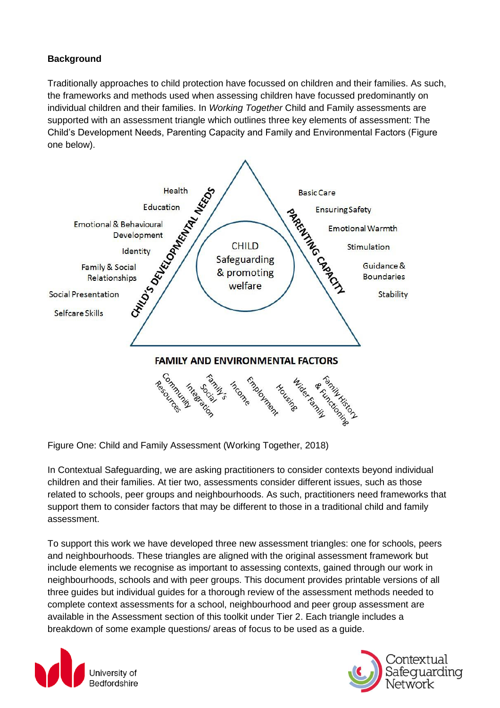### **Background**

Traditionally approaches to child protection have focussed on children and their families. As such, the frameworks and methods used when assessing children have focussed predominantly on individual children and their families. In *Working Together* Child and Family assessments are supported with an assessment triangle which outlines three key elements of assessment: The Child's Development Needs, Parenting Capacity and Family and Environmental Factors (Figure one below).



Figure One: Child and Family Assessment (Working Together, 2018)

In Contextual Safeguarding, we are asking practitioners to consider contexts beyond individual children and their families. At tier two, assessments consider different issues, such as those related to schools, peer groups and neighbourhoods. As such, practitioners need frameworks that support them to consider factors that may be different to those in a traditional child and family assessment.

To support this work we have developed three new assessment triangles: one for schools, peers and neighbourhoods. These triangles are aligned with the original assessment framework but include elements we recognise as important to assessing contexts, gained through our work in neighbourhoods, schools and with peer groups. This document provides printable versions of all three guides but individual guides for a thorough review of the assessment methods needed to complete context assessments for a school, neighbourhood and peer group assessment are available in the Assessment section of this toolkit under Tier 2. Each triangle includes a breakdown of some example questions/ areas of focus to be used as a guide.



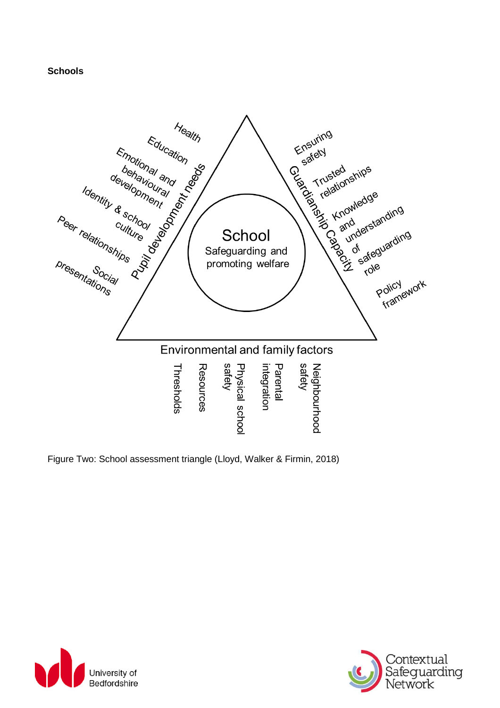#### **Schools**



Figure Two: School assessment triangle (Lloyd, Walker & Firmin, 2018)



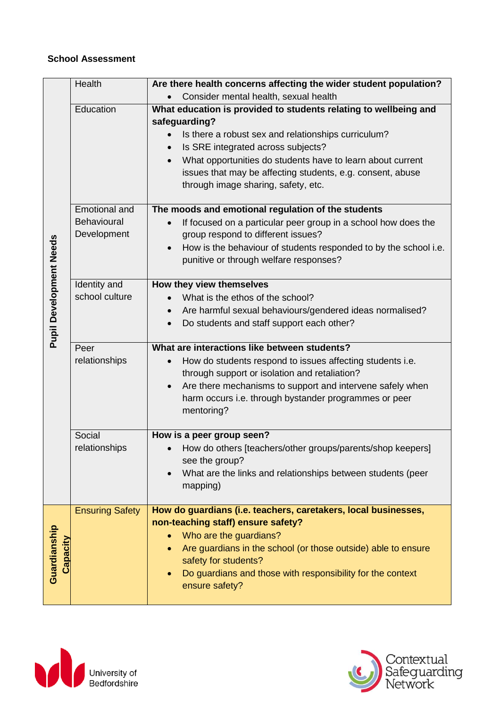#### **School Assessment**

|                                | Health                 | Are there health concerns affecting the wider student population?             |
|--------------------------------|------------------------|-------------------------------------------------------------------------------|
|                                |                        | Consider mental health, sexual health                                         |
|                                | Education              | What education is provided to students relating to wellbeing and              |
|                                |                        | safeguarding?                                                                 |
|                                |                        | Is there a robust sex and relationships curriculum?                           |
|                                |                        | Is SRE integrated across subjects?                                            |
|                                |                        | What opportunities do students have to learn about current                    |
|                                |                        | issues that may be affecting students, e.g. consent, abuse                    |
|                                |                        | through image sharing, safety, etc.                                           |
|                                | <b>Emotional and</b>   | The moods and emotional regulation of the students                            |
|                                | Behavioural            | If focused on a particular peer group in a school how does the                |
|                                | Development            | group respond to different issues?                                            |
|                                |                        | How is the behaviour of students responded to by the school i.e.<br>$\bullet$ |
|                                |                        | punitive or through welfare responses?                                        |
| <b>Pupil Development Needs</b> | Identity and           | How they view themselves                                                      |
|                                | school culture         | What is the ethos of the school?                                              |
|                                |                        | Are harmful sexual behaviours/gendered ideas normalised?<br>$\bullet$         |
|                                |                        | Do students and staff support each other?                                     |
|                                | Peer                   | What are interactions like between students?                                  |
|                                |                        |                                                                               |
|                                |                        |                                                                               |
|                                | relationships          | How do students respond to issues affecting students i.e.<br>$\bullet$        |
|                                |                        | through support or isolation and retaliation?<br>$\bullet$                    |
|                                |                        | Are there mechanisms to support and intervene safely when                     |
|                                |                        | harm occurs i.e. through bystander programmes or peer<br>mentoring?           |
|                                |                        |                                                                               |
|                                | Social                 | How is a peer group seen?                                                     |
|                                | relationships          | How do others [teachers/other groups/parents/shop keepers]                    |
|                                |                        | see the group?                                                                |
|                                |                        | What are the links and relationships between students (peer                   |
|                                |                        | mapping)                                                                      |
|                                | <b>Ensuring Safety</b> | How do guardians (i.e. teachers, caretakers, local businesses,                |
|                                |                        | non-teaching staff) ensure safety?                                            |
|                                |                        | Who are the guardians?                                                        |
|                                |                        | Are guardians in the school (or those outside) able to ensure                 |
| Capacity                       |                        | safety for students?                                                          |
| Guardianship                   |                        | Do guardians and those with responsibility for the context<br>ensure safety?  |



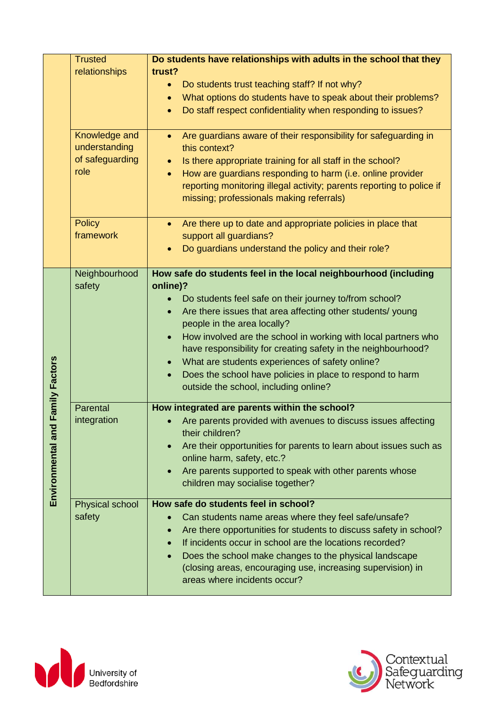|                  | <b>Trusted</b>                 | Do students have relationships with adults in the school that they                                              |
|------------------|--------------------------------|-----------------------------------------------------------------------------------------------------------------|
|                  | relationships                  | trust?                                                                                                          |
|                  |                                | Do students trust teaching staff? If not why?<br>$\bullet$                                                      |
|                  |                                | What options do students have to speak about their problems?<br>$\bullet$                                       |
|                  |                                | Do staff respect confidentiality when responding to issues?<br>$\bullet$                                        |
|                  | Knowledge and<br>understanding | Are guardians aware of their responsibility for safeguarding in<br>this context?                                |
|                  | of safeguarding                | Is there appropriate training for all staff in the school?                                                      |
|                  | role                           | How are guardians responding to harm (i.e. online provider<br>$\bullet$                                         |
|                  |                                | reporting monitoring illegal activity; parents reporting to police if                                           |
|                  |                                | missing; professionals making referrals)                                                                        |
|                  |                                |                                                                                                                 |
|                  | <b>Policy</b><br>framework     | Are there up to date and appropriate policies in place that<br>$\bullet$<br>support all guardians?              |
|                  |                                | Do guardians understand the policy and their role?                                                              |
|                  |                                |                                                                                                                 |
|                  | Neighbourhood                  | How safe do students feel in the local neighbourhood (including                                                 |
|                  | safety                         | online)?                                                                                                        |
|                  |                                | Do students feel safe on their journey to/from school?                                                          |
|                  |                                | Are there issues that area affecting other students/young<br>$\bullet$                                          |
|                  |                                | people in the area locally?                                                                                     |
|                  |                                | How involved are the school in working with local partners who                                                  |
|                  |                                | have responsibility for creating safety in the neighbourhood?                                                   |
|                  |                                | What are students experiences of safety online?<br>$\bullet$                                                    |
|                  |                                | Does the school have policies in place to respond to harm<br>$\bullet$<br>outside the school, including online? |
|                  |                                |                                                                                                                 |
| Family Factors   | Parental                       | How integrated are parents within the school?                                                                   |
|                  | integration                    | Are parents provided with avenues to discuss issues affecting<br>their children?                                |
|                  |                                | Are their opportunities for parents to learn about issues such as                                               |
|                  |                                | online harm, safety, etc.?                                                                                      |
|                  |                                | Are parents supported to speak with other parents whose<br>$\bullet$                                            |
| Environmental an |                                | children may socialise together?                                                                                |
|                  | Physical school                | How safe do students feel in school?                                                                            |
|                  | safety                         | Can students name areas where they feel safe/unsafe?<br>$\bullet$                                               |
|                  |                                | Are there opportunities for students to discuss safety in school?<br>$\bullet$                                  |
|                  |                                | If incidents occur in school are the locations recorded?<br>$\bullet$                                           |
|                  |                                | Does the school make changes to the physical landscape                                                          |
|                  |                                | (closing areas, encouraging use, increasing supervision) in                                                     |
|                  |                                | areas where incidents occur?                                                                                    |



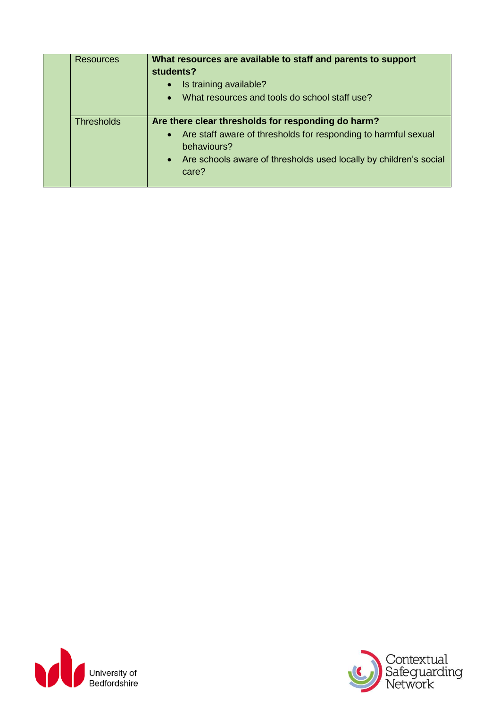|  | <b>Resources</b>  | What resources are available to staff and parents to support<br>students?<br>Is training available?<br>$\bullet$<br>What resources and tools do school staff use?<br>$\bullet$                                        |
|--|-------------------|-----------------------------------------------------------------------------------------------------------------------------------------------------------------------------------------------------------------------|
|  | <b>Thresholds</b> | Are there clear thresholds for responding do harm?<br>• Are staff aware of thresholds for responding to harmful sexual<br>behaviours?<br>• Are schools aware of thresholds used locally by children's social<br>care? |



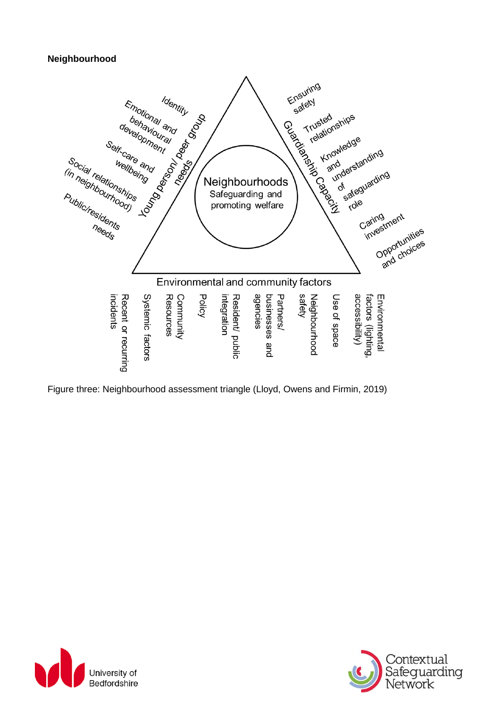#### **Neighbourhood**



Figure three: Neighbourhood assessment triangle (Lloyd, Owens and Firmin, 2019)



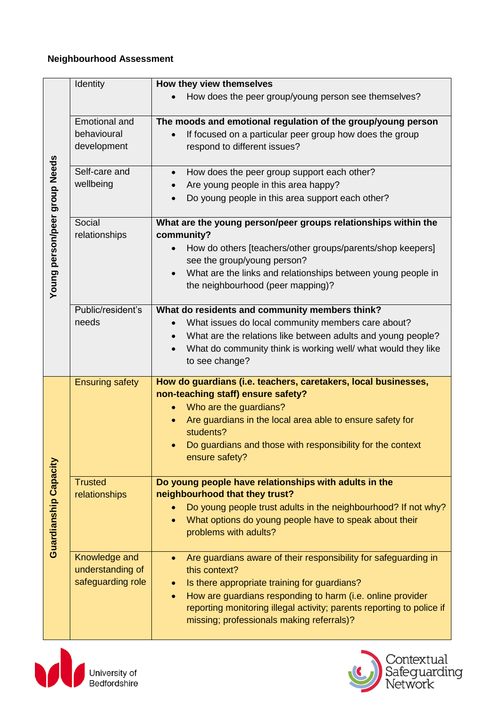## **Neighbourhood Assessment**

|                               | Identity               | How they view themselves                                                  |
|-------------------------------|------------------------|---------------------------------------------------------------------------|
|                               |                        | How does the peer group/young person see themselves?                      |
|                               | <b>Emotional and</b>   | The moods and emotional regulation of the group/young person              |
|                               | behavioural            | If focused on a particular peer group how does the group                  |
|                               | development            | respond to different issues?                                              |
|                               |                        |                                                                           |
|                               | Self-care and          | How does the peer group support each other?<br>$\bullet$                  |
|                               | wellbeing              | Are young people in this area happy?                                      |
|                               |                        | Do young people in this area support each other?                          |
|                               |                        |                                                                           |
| Young person/peer group Needs | Social                 | What are the young person/peer groups relationships within the            |
|                               | relationships          | community?                                                                |
|                               |                        | How do others [teachers/other groups/parents/shop keepers]                |
|                               |                        | see the group/young person?                                               |
|                               |                        | What are the links and relationships between young people in              |
|                               |                        | the neighbourhood (peer mapping)?                                         |
|                               |                        |                                                                           |
|                               | Public/resident's      | What do residents and community members think?                            |
|                               | needs                  | What issues do local community members care about?                        |
|                               |                        | What are the relations like between adults and young people?<br>$\bullet$ |
|                               |                        | What do community think is working well/ what would they like             |
|                               |                        | to see change?                                                            |
|                               | <b>Ensuring safety</b> | How do guardians (i.e. teachers, caretakers, local businesses,            |
|                               |                        | non-teaching staff) ensure safety?                                        |
|                               |                        | Who are the guardians?<br>$\bullet$                                       |
|                               |                        | Are guardians in the local area able to ensure safety for                 |
|                               |                        | students?                                                                 |
|                               |                        | Do guardians and those with responsibility for the context<br>$\bullet$   |
|                               |                        | ensure safety?                                                            |
|                               |                        |                                                                           |
| <b>Guardianship Capacity</b>  | <b>Trusted</b>         | Do young people have relationships with adults in the                     |
|                               | relationships          | neighbourhood that they trust?                                            |
|                               |                        | Do young people trust adults in the neighbourhood? If not why?            |
|                               |                        | What options do young people have to speak about their                    |
|                               |                        | problems with adults?                                                     |
|                               |                        |                                                                           |
|                               | Knowledge and          | Are guardians aware of their responsibility for safeguarding in           |
|                               | understanding of       | this context?                                                             |
|                               | safeguarding role      | Is there appropriate training for guardians?                              |
|                               |                        | How are guardians responding to harm (i.e. online provider                |
|                               |                        | reporting monitoring illegal activity; parents reporting to police if     |
|                               |                        | missing; professionals making referrals)?                                 |
|                               |                        |                                                                           |



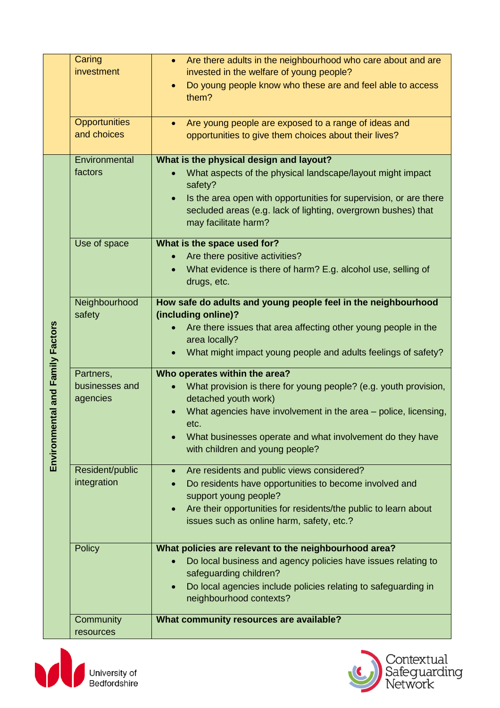|                                      | Caring<br>investment                    | Are there adults in the neighbourhood who care about and are<br>$\bullet$<br>invested in the welfare of young people?<br>Do young people know who these are and feel able to access<br>$\bullet$<br>them?                                                                                            |
|--------------------------------------|-----------------------------------------|------------------------------------------------------------------------------------------------------------------------------------------------------------------------------------------------------------------------------------------------------------------------------------------------------|
|                                      | <b>Opportunities</b><br>and choices     | Are young people are exposed to a range of ideas and<br>$\bullet$<br>opportunities to give them choices about their lives?                                                                                                                                                                           |
| ental and Family Factors<br>Environm | Environmental<br>factors                | What is the physical design and layout?<br>What aspects of the physical landscape/layout might impact<br>safety?<br>Is the area open with opportunities for supervision, or are there<br>secluded areas (e.g. lack of lighting, overgrown bushes) that<br>may facilitate harm?                       |
|                                      | Use of space                            | What is the space used for?<br>Are there positive activities?<br>What evidence is there of harm? E.g. alcohol use, selling of<br>drugs, etc.                                                                                                                                                         |
|                                      | Neighbourhood<br>safety                 | How safe do adults and young people feel in the neighbourhood<br>(including online)?<br>Are there issues that area affecting other young people in the<br>area locally?<br>What might impact young people and adults feelings of safety?                                                             |
|                                      | Partners,<br>businesses and<br>agencies | Who operates within the area?<br>What provision is there for young people? (e.g. youth provision,<br>detached youth work)<br>What agencies have involvement in the area - police, licensing,<br>etc.<br>What businesses operate and what involvement do they have<br>with children and young people? |
|                                      | Resident/public<br>integration          | Are residents and public views considered?<br>$\bullet$<br>Do residents have opportunities to become involved and<br>support young people?<br>Are their opportunities for residents/the public to learn about<br>$\bullet$<br>issues such as online harm, safety, etc.?                              |
|                                      | <b>Policy</b>                           | What policies are relevant to the neighbourhood area?<br>Do local business and agency policies have issues relating to<br>safeguarding children?<br>Do local agencies include policies relating to safeguarding in<br>neighbourhood contexts?                                                        |
|                                      | Community<br>resources                  | What community resources are available?                                                                                                                                                                                                                                                              |



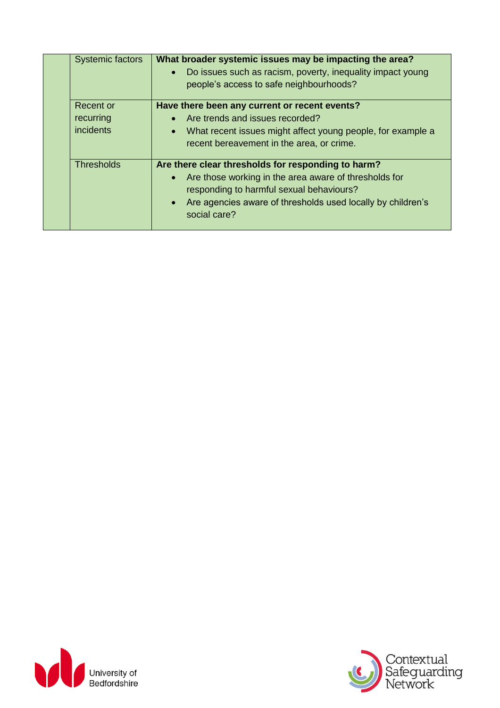| <b>Systemic factors</b>                    | What broader systemic issues may be impacting the area?<br>Do issues such as racism, poverty, inequality impact young<br>$\bullet$<br>people's access to safe neighbourhoods?                                                                                    |
|--------------------------------------------|------------------------------------------------------------------------------------------------------------------------------------------------------------------------------------------------------------------------------------------------------------------|
| Recent or<br>recurring<br><i>incidents</i> | Have there been any current or recent events?<br>Are trends and issues recorded?<br>$\bullet$<br>What recent issues might affect young people, for example a<br>$\bullet$<br>recent bereavement in the area, or crime.                                           |
| <b>Thresholds</b>                          | Are there clear thresholds for responding to harm?<br>Are those working in the area aware of thresholds for<br>$\bullet$<br>responding to harmful sexual behaviours?<br>Are agencies aware of thresholds used locally by children's<br>$\bullet$<br>social care? |



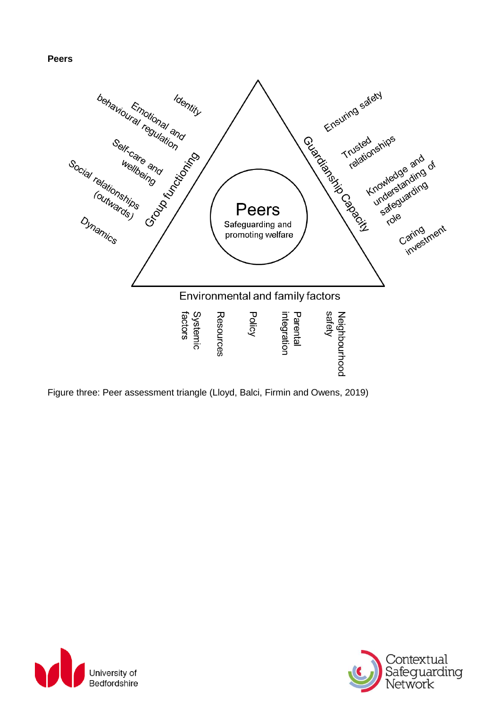#### **Peers**



Figure three: Peer assessment triangle (Lloyd, Balci, Firmin and Owens, 2019)



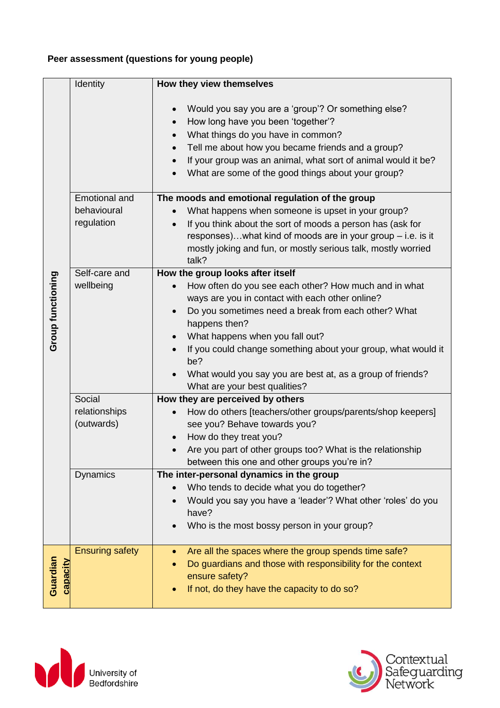# **Peer assessment (questions for young people)**

|                      | Identity                    | How they view themselves                                                                                                                                                                                                                                                                                                                                                     |
|----------------------|-----------------------------|------------------------------------------------------------------------------------------------------------------------------------------------------------------------------------------------------------------------------------------------------------------------------------------------------------------------------------------------------------------------------|
|                      |                             | Would you say you are a 'group'? Or something else?<br>$\bullet$<br>How long have you been 'together'?<br>$\bullet$<br>What things do you have in common?<br>$\bullet$<br>Tell me about how you became friends and a group?<br>$\bullet$<br>If your group was an animal, what sort of animal would it be?<br>$\bullet$<br>What are some of the good things about your group? |
|                      | <b>Emotional and</b>        | The moods and emotional regulation of the group                                                                                                                                                                                                                                                                                                                              |
|                      | behavioural<br>regulation   | What happens when someone is upset in your group?<br>If you think about the sort of moods a person has (ask for<br>$\bullet$<br>responses)what kind of moods are in your group - i.e. is it<br>mostly joking and fun, or mostly serious talk, mostly worried<br>talk?                                                                                                        |
|                      | Self-care and               | How the group looks after itself                                                                                                                                                                                                                                                                                                                                             |
| Group functioning    | wellbeing                   | How often do you see each other? How much and in what<br>ways are you in contact with each other online?<br>Do you sometimes need a break from each other? What<br>$\bullet$<br>happens then?                                                                                                                                                                                |
|                      |                             | What happens when you fall out?<br>$\bullet$                                                                                                                                                                                                                                                                                                                                 |
|                      |                             | If you could change something about your group, what would it<br>be?                                                                                                                                                                                                                                                                                                         |
|                      |                             | What would you say you are best at, as a group of friends?<br>What are your best qualities?                                                                                                                                                                                                                                                                                  |
|                      | Social                      | How they are perceived by others                                                                                                                                                                                                                                                                                                                                             |
|                      | relationships<br>(outwards) | How do others [teachers/other groups/parents/shop keepers]<br>see you? Behave towards you?<br>How do they treat you?<br>$\bullet$                                                                                                                                                                                                                                            |
|                      |                             | Are you part of other groups too? What is the relationship<br>between this one and other groups you're in?                                                                                                                                                                                                                                                                   |
|                      | <b>Dynamics</b>             | The inter-personal dynamics in the group                                                                                                                                                                                                                                                                                                                                     |
|                      |                             | Who tends to decide what you do together?<br>$\bullet$                                                                                                                                                                                                                                                                                                                       |
|                      |                             | Would you say you have a 'leader'? What other 'roles' do you                                                                                                                                                                                                                                                                                                                 |
|                      |                             | have?                                                                                                                                                                                                                                                                                                                                                                        |
|                      |                             | Who is the most bossy person in your group?                                                                                                                                                                                                                                                                                                                                  |
|                      | <b>Ensuring safety</b>      | Are all the spaces where the group spends time safe?                                                                                                                                                                                                                                                                                                                         |
| Guardian<br>capacity |                             | Do guardians and those with responsibility for the context                                                                                                                                                                                                                                                                                                                   |
|                      |                             | ensure safety?                                                                                                                                                                                                                                                                                                                                                               |
|                      |                             | If not, do they have the capacity to do so?                                                                                                                                                                                                                                                                                                                                  |